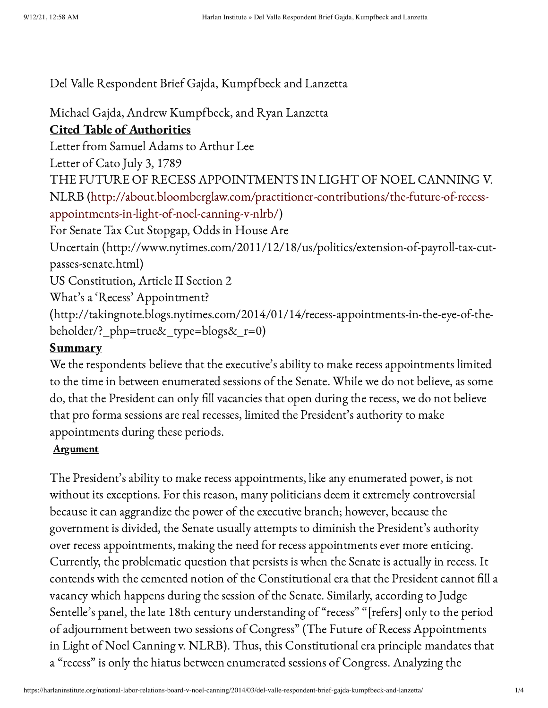Del Valle Respondent Brief Gajda, Kumpfbeck and Lanzetta

Michael Gajda, Andrew Kumpfbeck, and Ryan Lanzetta Cited Table of Authorities Letter from Samuel Adams to Arthur Lee Letter of Cato July 3, 1789 THE FUTURE OF RECESS APPOINTMENTS IN LIGHT OF NOEL CANNING V. NLRB [\(http://about.bloomberglaw.com/practitioner-contributions/the-future-of-recess](http://about.bloomberglaw.com/practitioner-contributions/the-future-of-recess-appointments-in-light-of-noel-canning-v-nlrb/)appointments-in-light-of-noel-canning-v-nlrb/) For Senate Tax Cut Stopgap, Odds in House Are Uncertain (http://www.nytimes.com/2011/12/18/us/politics/extension-of-payroll-tax-cutpasses-senate.html) US Constitution, Article II Section 2 What's a 'Recess' Appointment? (http://takingnote.blogs.nytimes.com/2014/01/14/recess-appointments-in-the-eye-of-thebeholder/?\_php=true&\_type=blogs&\_r=0)

## **Summary**

We the respondents believe that the executive's ability to make recess appointments limited to the time in between enumerated sessions of the Senate. While we do not believe, as some do, that the President can only fill vacancies that open during the recess, we do not believe that pro forma sessions are real recesses, limited the President's authority to make appointments during these periods.

## **Argument**

The President's ability to make recess appointments, like any enumerated power, is not without its exceptions. For this reason, many politicians deem it extremely controversial because it can aggrandize the power of the executive branch; however, because the government is divided, the Senate usually attempts to diminish the President's authority over recess appointments, making the need for recess appointments ever more enticing. Currently, the problematic question that persists is when the Senate is actually in recess. It contends with the cemented notion of the Constitutional era that the President cannot fill a vacancy which happens during the session of the Senate. Similarly, according to Judge Sentelle's panel, the late 18th century understanding of "recess" "[refers] only to the period of adjournment between two sessions of Congress" (The Future of Recess Appointments in Light of Noel Canning v. NLRB). Thus, this Constitutional era principle mandates that a "recess" is only the hiatus between enumerated sessions of Congress. Analyzing the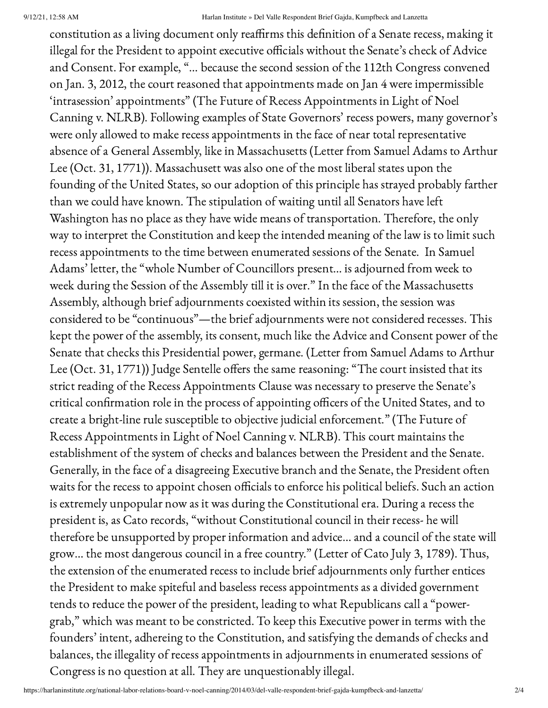## 9/12/21, 12:58 AM Harlan Institute » Del Valle Respondent Brief Gajda, Kumpfbeck and Lanzetta

constitution as a living document only reaffirms this definition of a Senate recess, making it illegal for the President to appoint executive officials without the Senate's check of Advice and Consent. For example, "… because the second session of the 112th Congress convened on Jan. 3, 2012, the court reasoned that appointments made on Jan 4 were impermissible 'intrasession' appointments" (The Future of Recess Appointments in Light of Noel Canning v. NLRB). Following examples of State Governors' recess powers, many governor's were only allowed to make recess appointments in the face of near total representative absence of a General Assembly, like in Massachusetts (Letter from Samuel Adams to Arthur Lee (Oct. 31, 1771)). Massachusett was also one of the most liberal states upon the founding of the United States, so our adoption of this principle has strayed probably farther than we could have known. The stipulation of waiting until all Senators have left Washington has no place as they have wide means of transportation. Therefore, the only way to interpret the Constitution and keep the intended meaning of the law is to limit such recess appointments to the time between enumerated sessions of the Senate. In Samuel Adams' letter, the "whole Number of Councillors present… is adjourned from week to week during the Session of the Assembly till it is over." In the face of the Massachusetts Assembly, although brief adjournments coexisted within its session, the session was considered to be "continuous"—the brief adjournments were not considered recesses. This kept the power of the assembly, its consent, much like the Advice and Consent power of the Senate that checks this Presidential power, germane. (Letter from Samuel Adams to Arthur Lee (Oct. 31, 1771)) Judge Sentelle offers the same reasoning: "The court insisted that its strict reading of the Recess Appointments Clause was necessary to preserve the Senate's critical confirmation role in the process of appointing officers of the United States, and to create a bright-line rule susceptible to objective judicial enforcement." (The Future of Recess Appointments in Light of Noel Canning v. NLRB). This court maintains the establishment of the system of checks and balances between the President and the Senate. Generally, in the face of a disagreeing Executive branch and the Senate, the President often waits for the recess to appoint chosen officials to enforce his political beliefs. Such an action is extremely unpopular now as it was during the Constitutional era. During a recess the president is, as Cato records, "without Constitutional council in their recess- he will therefore be unsupported by proper information and advice… and a council of the state will grow… the most dangerous council in a free country." (Letter of Cato July 3, 1789). Thus, the extension of the enumerated recess to include brief adjournments only further entices the President to make spiteful and baseless recess appointments as a divided government tends to reduce the power of the president, leading to what Republicans call a "powergrab," which was meant to be constricted. To keep this Executive power in terms with the founders' intent, adhereing to the Constitution, and satisfying the demands of checks and balances, the illegality of recess appointments in adjournments in enumerated sessions of Congress is no question at all. They are unquestionably illegal.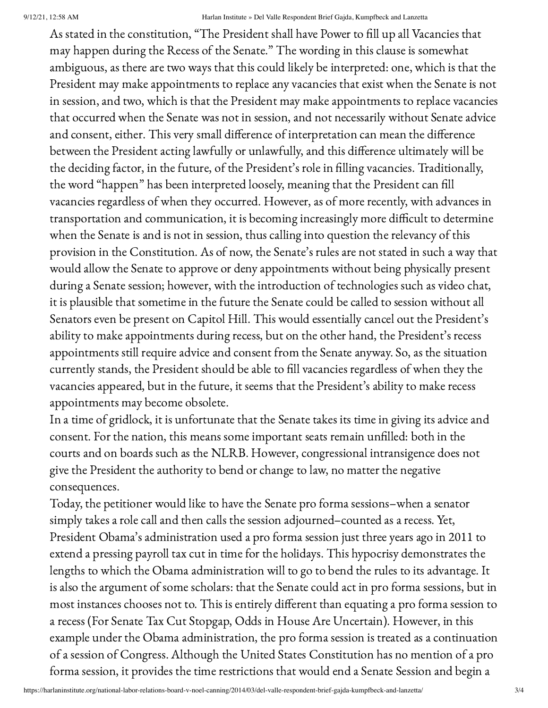As stated in the constitution, "The President shall have Power to fill up all Vacancies that may happen during the Recess of the Senate." The wording in this clause is somewhat ambiguous, as there are two ways that this could likely be interpreted: one, which is that the President may make appointments to replace any vacancies that exist when the Senate is not in session, and two, which is that the President may make appointments to replace vacancies that occurred when the Senate was not in session, and not necessarily without Senate advice and consent, either. This very small difference of interpretation can mean the difference between the President acting lawfully or unlawfully, and this difference ultimately will be the deciding factor, in the future, of the President's role in filling vacancies. Traditionally, the word "happen" has been interpreted loosely, meaning that the President can fill vacancies regardless of when they occurred. However, as of more recently, with advances in transportation and communication, it is becoming increasingly more difficult to determine when the Senate is and is not in session, thus calling into question the relevancy of this provision in the Constitution. As of now, the Senate's rules are not stated in such a way that would allow the Senate to approve or deny appointments without being physically present during a Senate session; however, with the introduction of technologies such as video chat, it is plausible that sometime in the future the Senate could be called to session without all Senators even be present on Capitol Hill. This would essentially cancel out the President's ability to make appointments during recess, but on the other hand, the President's recess appointments still require advice and consent from the Senate anyway. So, as the situation currently stands, the President should be able to fill vacancies regardless of when they the vacancies appeared, but in the future, it seems that the President's ability to make recess appointments may become obsolete.

In a time of gridlock, it is unfortunate that the Senate takes its time in giving its advice and consent. For the nation, this means some important seats remain unfilled: both in the courts and on boards such as the NLRB. However, congressional intransigence does not give the President the authority to bend or change to law, no matter the negative consequences.

Today, the petitioner would like to have the Senate pro forma sessions–when a senator simply takes a role call and then calls the session adjourned–counted as a recess. Yet, President Obama's administration used a pro forma session just three years ago in 2011 to extend a pressing payroll tax cut in time for the holidays. This hypocrisy demonstrates the lengths to which the Obama administration will to go to bend the rules to its advantage. It is also the argument of some scholars: that the Senate could act in pro forma sessions, but in most instances chooses not to. This is entirely different than equating a pro forma session to a recess (For Senate Tax Cut Stopgap, Odds in House Are Uncertain). However, in this example under the Obama administration, the pro forma session is treated as a continuation of a session of Congress. Although the United States Constitution has no mention of a pro forma session, it provides the time restrictions that would end a Senate Session and begin a